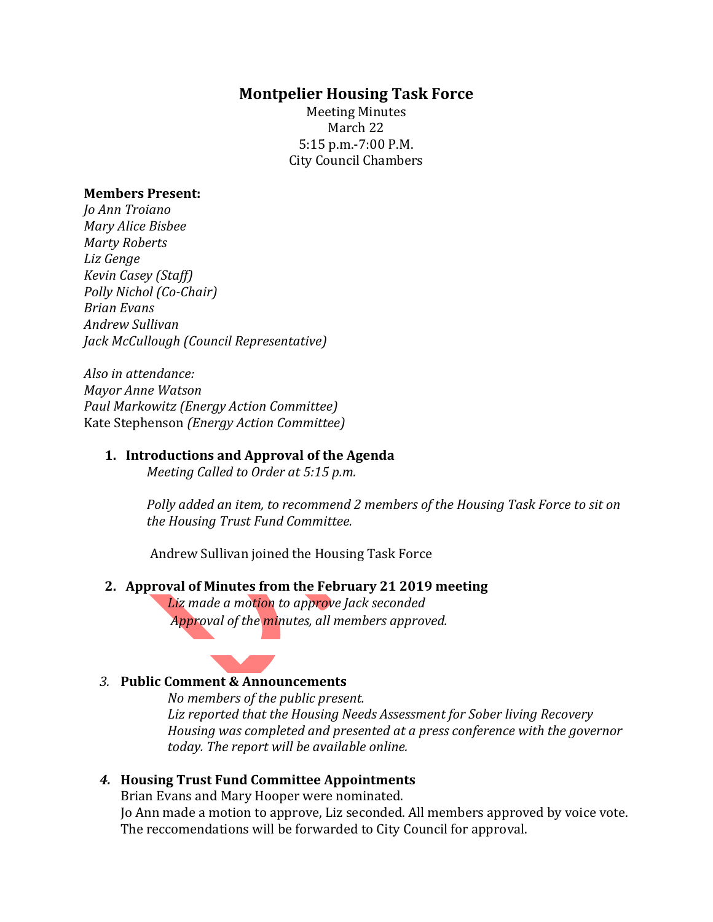## **Montpelier Housing Task Force**

Meeting Minutes March 22 5:15 p.m.-7:00 P.M. City Council Chambers

#### **Members Present:**

*Jo Ann Troiano Mary Alice Bisbee Marty Roberts Liz Genge Kevin Casey (Staff) Polly Nichol (Co-Chair) Brian Evans Andrew Sullivan Jack McCullough (Council Representative)*

*Also in attendance: Mayor Anne Watson Paul Markowitz (Energy Action Committee)* Kate Stephenson *(Energy Action Committee)*

#### **1. Introductions and Approval of the Agenda**

*Meeting Called to Order at 5:15 p.m.*

*Polly added an item, to recommend 2 members of the Housing Task Force to sit on the Housing Trust Fund Committee.* 

Andrew Sullivan joined the Housing Task Force

#### **2. Approval of Minutes from the February 21 2019 meeting**

*Liz made a motion to approve Jack seconded Approval of the minutes, all members approved.*



*No members of the public present. Liz reported that the Housing Needs Assessment for Sober living Recovery Housing was completed and presented at a press conference with the governor today. The report will be available online.* 

### *4.* **Housing Trust Fund Committee Appointments**

Brian Evans and Mary Hooper were nominated.

Jo Ann made a motion to approve, Liz seconded. All members approved by voice vote. The reccomendations will be forwarded to City Council for approval.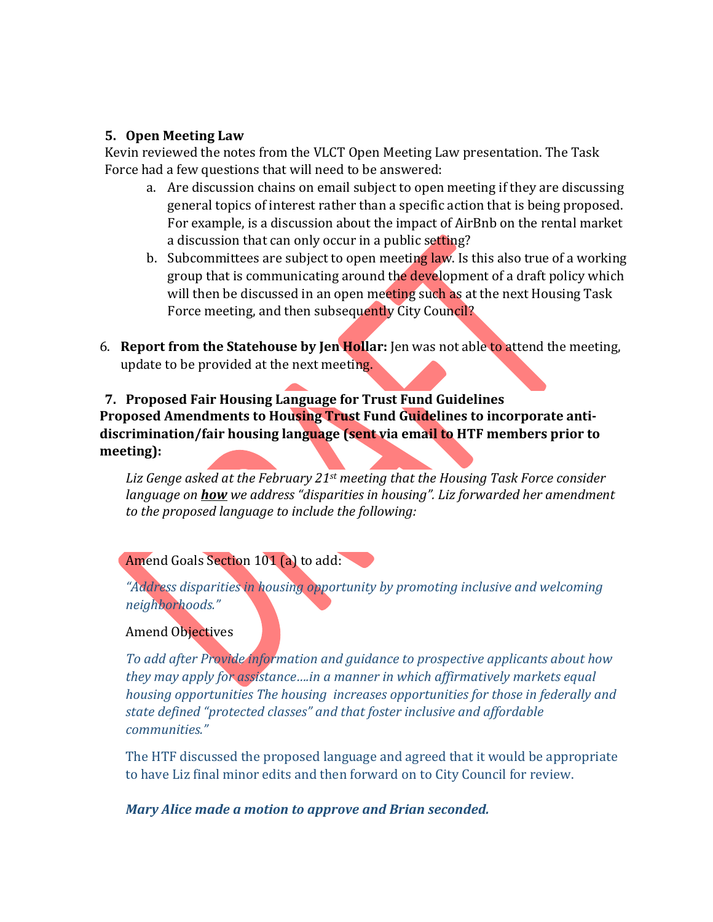### **5. Open Meeting Law**

Kevin reviewed the notes from the VLCT Open Meeting Law presentation. The Task Force had a few questions that will need to be answered:

- a. Are discussion chains on email subject to open meeting if they are discussing general topics of interest rather than a specific action that is being proposed. For example, is a discussion about the impact of AirBnb on the rental market a discussion that can only occur in a public setting?
- b. Subcommittees are subject to open meeting law. Is this also true of a working group that is communicating around the development of a draft policy which will then be discussed in an open meeting such as at the next Housing Task Force meeting, and then subsequently City Council?
- 6. **Report from the Statehouse by Jen Hollar:** Jen was not able to attend the meeting, update to be provided at the next meeting.

# **7. Proposed Fair Housing Language for Trust Fund Guidelines Proposed Amendments to Housing Trust Fund Guidelines to incorporate antidiscrimination/fair housing language (sent via email to HTF members prior to meeting):**

*Liz Genge asked at the February 21st meeting that the Housing Task Force consider language on how we address "disparities in housing". Liz forwarded her amendment to the proposed language to include the following:*

## Amend Goals Section 101 (a) to add:

*"Address disparities in housing opportunity by promoting inclusive and welcoming neighborhoods."* 

## Amend Objectives

*To add after Provide information and guidance to prospective applicants about how they may apply for assistance….in a manner in which affirmatively markets equal housing opportunities The housing increases opportunities for those in federally and state defined "protected classes" and that foster inclusive and affordable communities."*

The HTF discussed the proposed language and agreed that it would be appropriate to have Liz final minor edits and then forward on to City Council for review.

*Mary Alice made a motion to approve and Brian seconded.*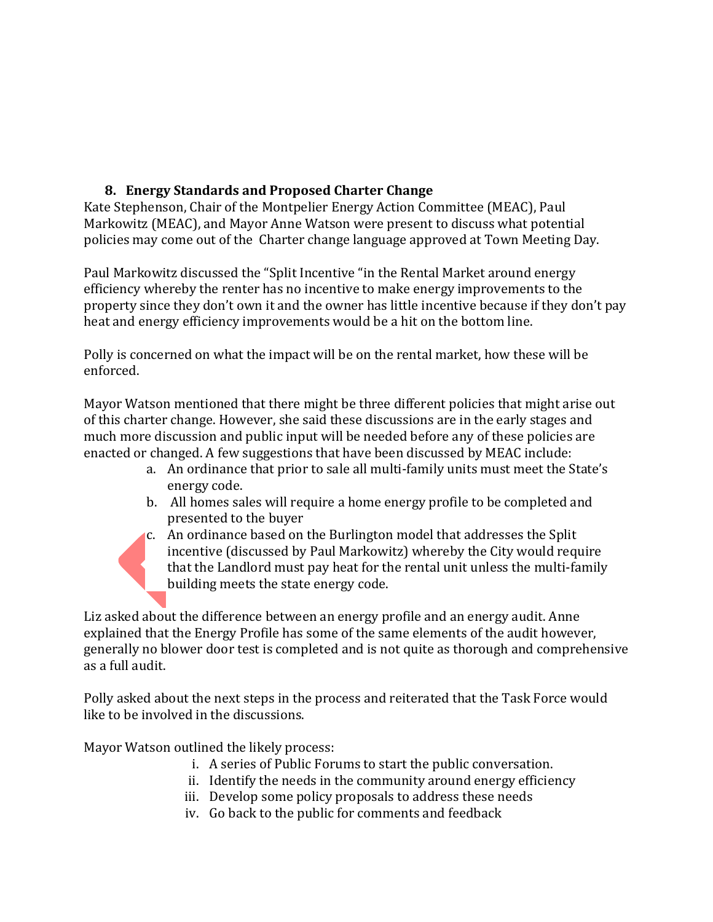# **8. Energy Standards and Proposed Charter Change**

Kate Stephenson, Chair of the Montpelier Energy Action Committee (MEAC), Paul Markowitz (MEAC), and Mayor Anne Watson were present to discuss what potential policies may come out of the Charter change language approved at Town Meeting Day.

Paul Markowitz discussed the "Split Incentive "in the Rental Market around energy efficiency whereby the renter has no incentive to make energy improvements to the property since they don't own it and the owner has little incentive because if they don't pay heat and energy efficiency improvements would be a hit on the bottom line.

Polly is concerned on what the impact will be on the rental market, how these will be enforced.

Mayor Watson mentioned that there might be three different policies that might arise out of this charter change. However, she said these discussions are in the early stages and much more discussion and public input will be needed before any of these policies are enacted or changed. A few suggestions that have been discussed by MEAC include:

- a. An ordinance that prior to sale all multi-family units must meet the State's energy code.
- b. All homes sales will require a home energy profile to be completed and presented to the buyer
- c. An ordinance based on the Burlington model that addresses the Split incentive (discussed by Paul Markowitz) whereby the City would require that the Landlord must pay heat for the rental unit unless the multi-family building meets the state energy code.

Liz asked about the difference between an energy profile and an energy audit. Anne explained that the Energy Profile has some of the same elements of the audit however, generally no blower door test is completed and is not quite as thorough and comprehensive as a full audit.

Polly asked about the next steps in the process and reiterated that the Task Force would like to be involved in the discussions.

Mayor Watson outlined the likely process:

- i. A series of Public Forums to start the public conversation.
- ii. Identify the needs in the community around energy efficiency
- iii. Develop some policy proposals to address these needs
- iv. Go back to the public for comments and feedback